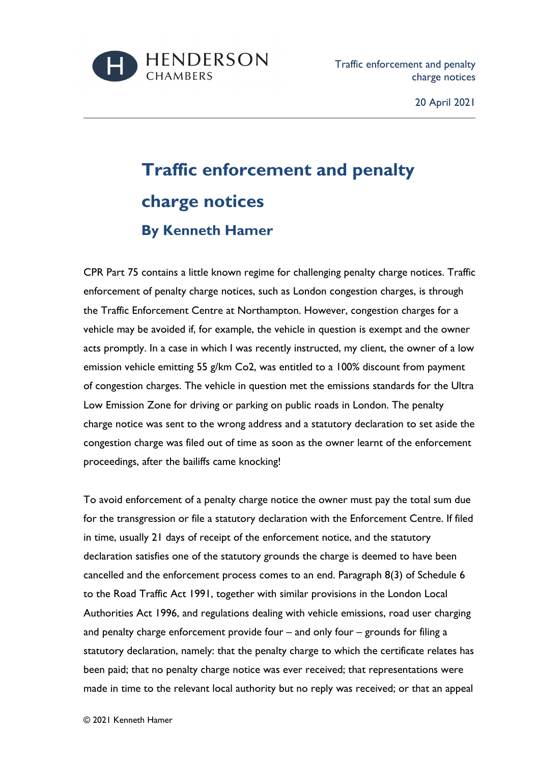

## **Traffic enforcement and penalty charge notices By Kenneth Hamer**

CPR Part 75 contains a little known regime for challenging penalty charge notices. Traffic enforcement of penalty charge notices, such as London congestion charges, is through the Traffic Enforcement Centre at Northampton. However, congestion charges for a vehicle may be avoided if, for example, the vehicle in question is exempt and the owner acts promptly. In a case in which I was recently instructed, my client, the owner of a low emission vehicle emitting 55 g/km Co2, was entitled to a 100% discount from payment of congestion charges. The vehicle in question met the emissions standards for the Ultra Low Emission Zone for driving or parking on public roads in London. The penalty charge notice was sent to the wrong address and a statutory declaration to set aside the congestion charge was filed out of time as soon as the owner learnt of the enforcement proceedings, after the bailiffs came knocking!

To avoid enforcement of a penalty charge notice the owner must pay the total sum due for the transgression or file a statutory declaration with the Enforcement Centre. If filed in time, usually 21 days of receipt of the enforcement notice, and the statutory declaration satisfies one of the statutory grounds the charge is deemed to have been cancelled and the enforcement process comes to an end. Paragraph 8(3) of Schedule 6 to the Road Traffic Act 1991, together with similar provisions in the London Local Authorities Act 1996, and regulations dealing with vehicle emissions, road user charging and penalty charge enforcement provide four – and only four – grounds for filing a statutory declaration, namely: that the penalty charge to which the certificate relates has been paid; that no penalty charge notice was ever received; that representations were made in time to the relevant local authority but no reply was received; or that an appeal